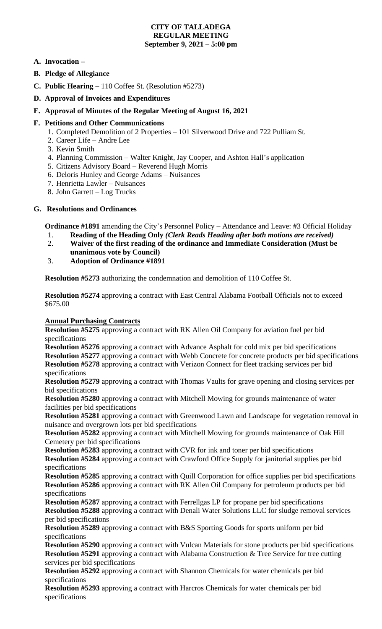## **CITY OF TALLADEGA REGULAR MEETING September 9, 2021 – 5:00 pm**

# **A. Invocation –**

- **B. Pledge of Allegiance**
- **C. Public Hearing –** 110 Coffee St. (Resolution #5273)
- **D. Approval of Invoices and Expenditures**
- **E. Approval of Minutes of the Regular Meeting of August 16, 2021**

## **F. Petitions and Other Communications**

- 1. Completed Demolition of 2 Properties 101 Silverwood Drive and 722 Pulliam St.
- 2. Career Life Andre Lee
- 3. Kevin Smith
- 4. Planning Commission Walter Knight, Jay Cooper, and Ashton Hall's application
- 5. Citizens Advisory Board Reverend Hugh Morris
- 6. Deloris Hunley and George Adams Nuisances
- 7. Henrietta Lawler Nuisances
- 8. John Garrett Log Trucks

# **G. Resolutions and Ordinances**

**Ordinance #1891** amending the City's Personnel Policy – Attendance and Leave: #3 Official Holiday

- 1. **Reading of the Heading Only** *(Clerk Reads Heading after both motions are received)*
- 2. **Waiver of the first reading of the ordinance and Immediate Consideration (Must be unanimous vote by Council)**
- 3. **Adoption of Ordinance #1891**

**Resolution #5273** authorizing the condemnation and demolition of 110 Coffee St.

**Resolution #5274** approving a contract with East Central Alabama Football Officials not to exceed \$675.00

### **Annual Purchasing Contracts**

**Resolution #5275** approving a contract with RK Allen Oil Company for aviation fuel per bid specifications

**Resolution #5276** approving a contract with Advance Asphalt for cold mix per bid specifications **Resolution #5277** approving a contract with Webb Concrete for concrete products per bid specifications **Resolution #5278** approving a contract with Verizon Connect for fleet tracking services per bid specifications

**Resolution #5279** approving a contract with Thomas Vaults for grave opening and closing services per bid specifications

**Resolution #5280** approving a contract with Mitchell Mowing for grounds maintenance of water facilities per bid specifications

**Resolution #5281** approving a contract with Greenwood Lawn and Landscape for vegetation removal in nuisance and overgrown lots per bid specifications

**Resolution #5282** approving a contract with Mitchell Mowing for grounds maintenance of Oak Hill Cemetery per bid specifications

**Resolution #5283** approving a contract with CVR for ink and toner per bid specifications **Resolution #5284** approving a contract with Crawford Office Supply for janitorial supplies per bid specifications

**Resolution #5285** approving a contract with Quill Corporation for office supplies per bid specifications **Resolution #5286** approving a contract with RK Allen Oil Company for petroleum products per bid specifications

**Resolution #5287** approving a contract with Ferrellgas LP for propane per bid specifications **Resolution #5288** approving a contract with Denali Water Solutions LLC for sludge removal services per bid specifications

**Resolution #5289** approving a contract with B&S Sporting Goods for sports uniform per bid specifications

**Resolution #5290** approving a contract with Vulcan Materials for stone products per bid specifications **Resolution #5291** approving a contract with Alabama Construction & Tree Service for tree cutting services per bid specifications

**Resolution #5292** approving a contract with Shannon Chemicals for water chemicals per bid specifications

**Resolution #5293** approving a contract with Harcros Chemicals for water chemicals per bid specifications